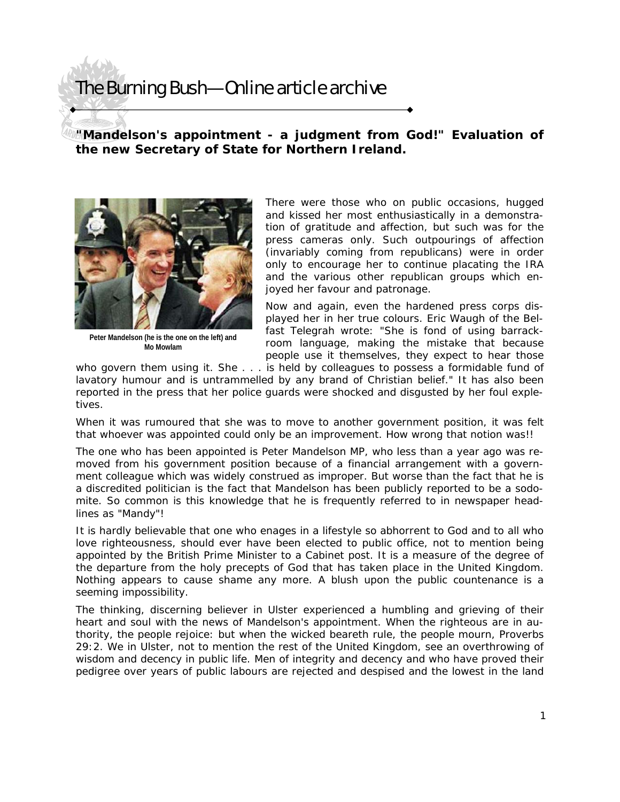## The Burning Bush—Online article archive

## **"Mandelson's appointment - a judgment from God!" Evaluation of the new Secretary of State for Northern Ireland.**



**Peter Mandelson (he is the one on the left) and Mo Mowlam** 

There were those who on public occasions, hugged and kissed her most enthusiastically in a demonstration of gratitude and affection, but such was for the press cameras only. Such outpourings of affection (invariably coming from republicans) were in order only to encourage her to continue placating the IRA and the various other republican groups which enjoyed her favour and patronage.

Now and again, even the hardened press corps displayed her in her true colours. Eric Waugh of the Belfast Telegrah wrote: "She is fond of using barrackroom language, making the mistake that because people use it themselves, they expect to hear those

who govern them using it. She . . . is held by colleagues to possess a formidable fund of lavatory humour and is untrammelled by any brand of Christian belief." It has also been reported in the press that her police guards were shocked and disgusted by her foul expletives.

When it was rumoured that she was to move to another government position, it was felt that whoever was appointed could only be an improvement. How wrong that notion was!!

The one who has been appointed is Peter Mandelson MP, who less than a year ago was removed from his government position because of a financial arrangement with a government colleague which was widely construed as improper. But worse than the fact that he is a discredited politician is the fact that Mandelson has been publicly reported to be a sodomite. So common is this knowledge that he is frequently referred to in newspaper headlines as "Mandy"!

It is hardly believable that one who enages in a lifestyle so abhorrent to God and to all who love righteousness, should ever have been elected to public office, not to mention being appointed by the British Prime Minister to a Cabinet post. It is a measure of the degree of the departure from the holy precepts of God that has taken place in the United Kingdom. Nothing appears to cause shame any more. A blush upon the public countenance is a seeming impossibility.

The thinking, discerning believer in Ulster experienced a humbling and grieving of their heart and soul with the news of Mandelson's appointment. When the righteous are in authority, the people rejoice: but when the wicked beareth rule, the people mourn, Proverbs 29:2. We in Ulster, not to mention the rest of the United Kingdom, see an overthrowing of wisdom and decency in public life. Men of integrity and decency and who have proved their pedigree over years of public labours are rejected and despised and the lowest in the land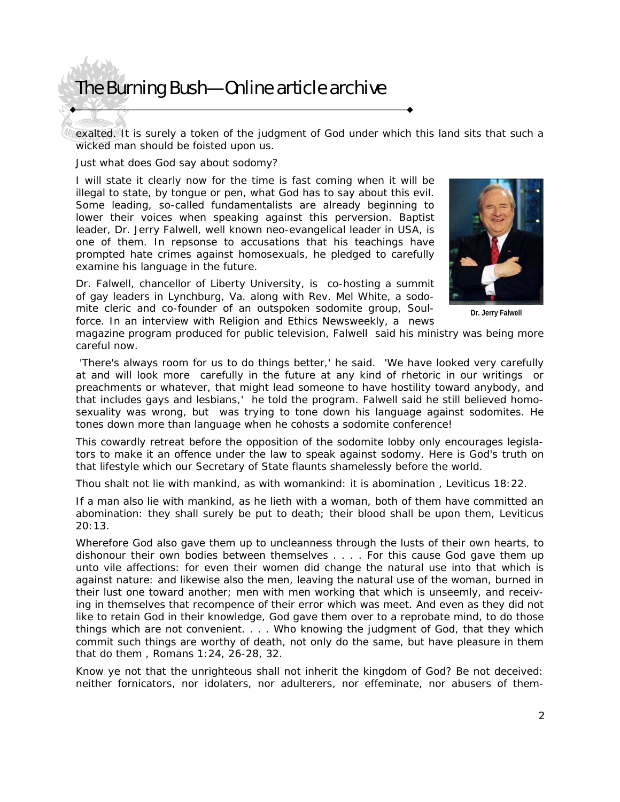## The Burning Bush—Online article archive

exalted. It is surely a token of the judgment of God under which this land sits that such a wicked man should be foisted upon us.

Just what does God say about sodomy?

I will state it clearly now for the time is fast coming when it will be illegal to state, by tongue or pen, what God has to say about this evil. Some leading, so-called fundamentalists are already beginning to lower their voices when speaking against this perversion. Baptist leader, Dr. Jerry Falwell, well known neo-evangelical leader in USA, is one of them. In repsonse to accusations that his teachings have prompted hate crimes against homosexuals, he pledged to carefully examine his language in the future.

Dr. Falwell, chancellor of Liberty University, is co-hosting a summit of gay leaders in Lynchburg, Va. along with Rev. Mel White, a sodomite cleric and co-founder of an outspoken sodomite group, Soulforce. In an interview with Religion and Ethics Newsweekly, a news



**Dr. Jerry Falwell** 

magazine program produced for public television, Falwell said his ministry was being more careful now.

 'There's always room for us to do things better,' he said. 'We have looked very carefully at and will look more carefully in the future at any kind of rhetoric in our writings or preachments or whatever, that might lead someone to have hostility toward anybody, and that includes gays and lesbians,' he told the program. Falwell said he still believed homosexuality was wrong, but was trying to tone down his language against sodomites. He tones down more than language when he cohosts a sodomite conference!

This cowardly retreat before the opposition of the sodomite lobby only encourages legislators to make it an offence under the law to speak against sodomy. Here is God's truth on that lifestyle which our Secretary of State flaunts shamelessly before the world.

*Thou shalt not lie with mankind, as with womankind: it is abomination* , Leviticus 18:22.

*If a man also lie with mankind, as he lieth with a woman, both of them have committed an abomination: they shall surely be put to death; their blood shall be upon them,* Leviticus 20:13.

*Wherefore God also gave them up to uncleanness through the lusts of their own hearts, to dishonour their own bodies between themselves . . . . For this cause God gave them up unto vile affections: for even their women did change the natural use into that which is against nature: and likewise also the men, leaving the natural use of the woman, burned in their lust one toward another; men with men working that which is unseemly, and receiving in themselves that recompence of their error which was meet. And even as they did not like to retain God in their knowledge, God gave them over to a reprobate mind, to do those things which are not convenient. . . . Who knowing the judgment of God, that they which commit such things are worthy of death, not only do the same, but have pleasure in them that do them* , Romans 1:24, 26-28, 32.

*Know ye not that the unrighteous shall not inherit the kingdom of God? Be not deceived: neither fornicators, nor idolaters, nor adulterers, nor effeminate, nor abusers of them-*